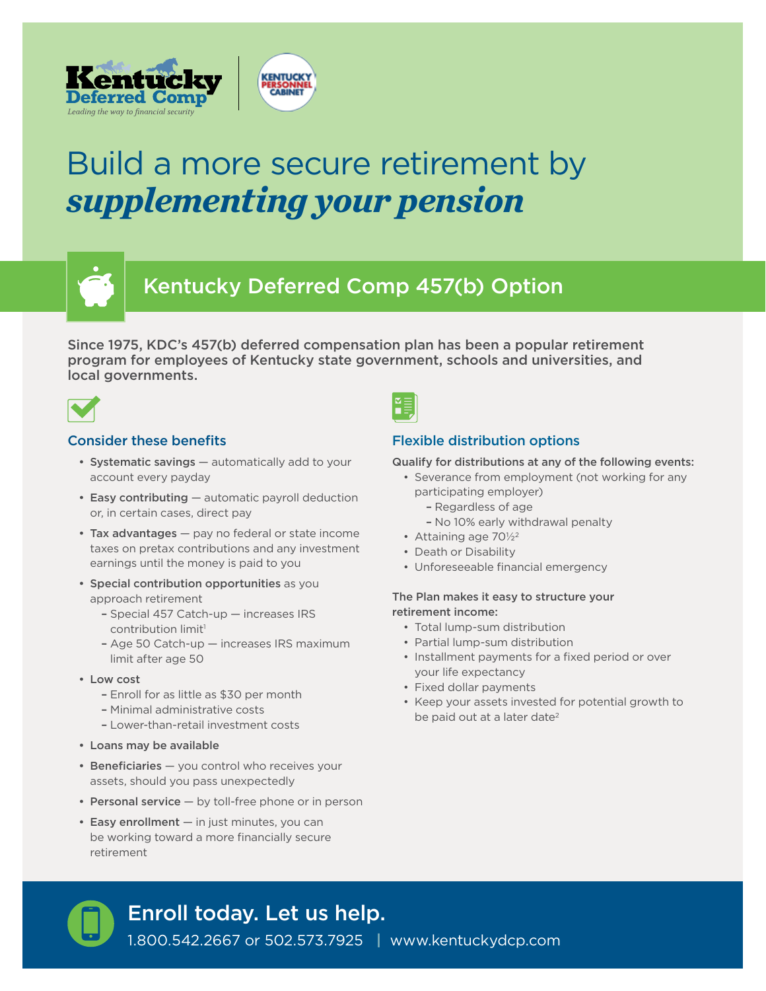



# Kentucky Deferred Comp 457(b) Option

Since 1975, KDC's 457(b) deferred compensation plan has been a popular retirement program for employees of Kentucky state government, schools and universities, and local governments.



# Consider these benefits

- Systematic savings automatically add to your account every payday
- Easy contributing automatic payroll deduction or, in certain cases, direct pay
- Tax advantages pay no federal or state income taxes on pretax contributions and any investment earnings until the money is paid to you
- Special contribution opportunities as you approach retirement
	- Special 457 Catch-up increases IRS contribution limit<sup>1</sup>
	- Age 50 Catch-up increases IRS maximum limit after age 50
- Low cost
	- Enroll for as little as \$30 per month
	- Minimal administrative costs
	- Lower-than-retail investment costs
- Loans may be available
- Beneficiaries you control who receives your assets, should you pass unexpectedly
- Personal service  $-$  by toll-free phone or in person
- Easy enrollment in just minutes, you can be working toward a more financially secure retirement



# Flexible distribution options

#### Qualify for distributions at any of the following events:

- Severance from employment (not working for any participating employer)
	- Regardless of age
	- No 10% early withdrawal penalty
- Attaining age 701/22
- Death or Disability
- Unforeseeable financial emergency

#### The Plan makes it easy to structure your retirement income:

- Total lump-sum distribution
- Partial lump-sum distribution
- Installment payments for a fixed period or over your life expectancy
- Fixed dollar payments
- Keep your assets invested for potential growth to be paid out at a later date<sup>2</sup>